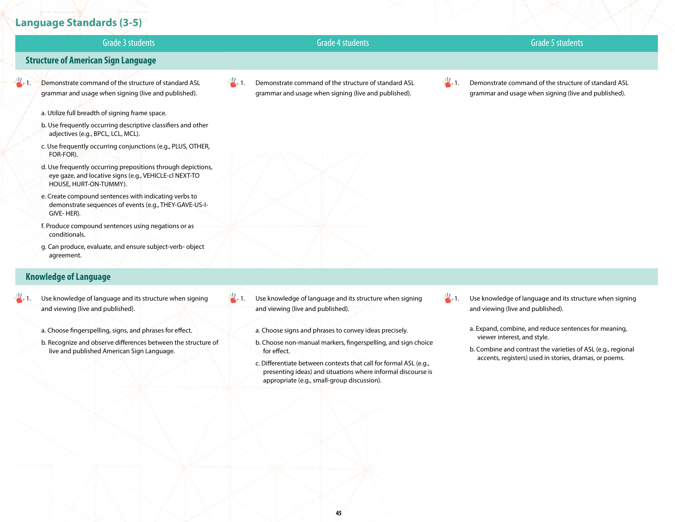# **Language Standards (3-5)**



### **Knowledge of Language**

- $\frac{1}{2}$ . Use knowledge of language and its structure when signing and viewing (live and published).
	- a. Choose fingerspelling, signs, and phrases for effect.
	- b. Recognize and observe differences between the structure of live and published American Sign Language.
- $\frac{1}{2}$ . Use knowledge of language and its structure when signing and viewing (live and published).
	- a. Choose signs and phrases to convey ideas precisely.
	- b. Choose non-manual markers, fingerspelling, and sign choice for effect.
	- c. Differentiate between contexts that call for formal ASL (e.g., presenting ideas) and situations where informal discourse is appropriate (e.g., small-group discussion).

 $\frac{1}{2}$ . Use knowledge of language and its structure when signing and viewing (live and published).

- a. Expand, combine, and reduce sentences for meaning, viewer interest, and style.
- b. Combine and contrast the varieties of ASL (e.g., regional accents, registers) used in stories, dramas, or poems.